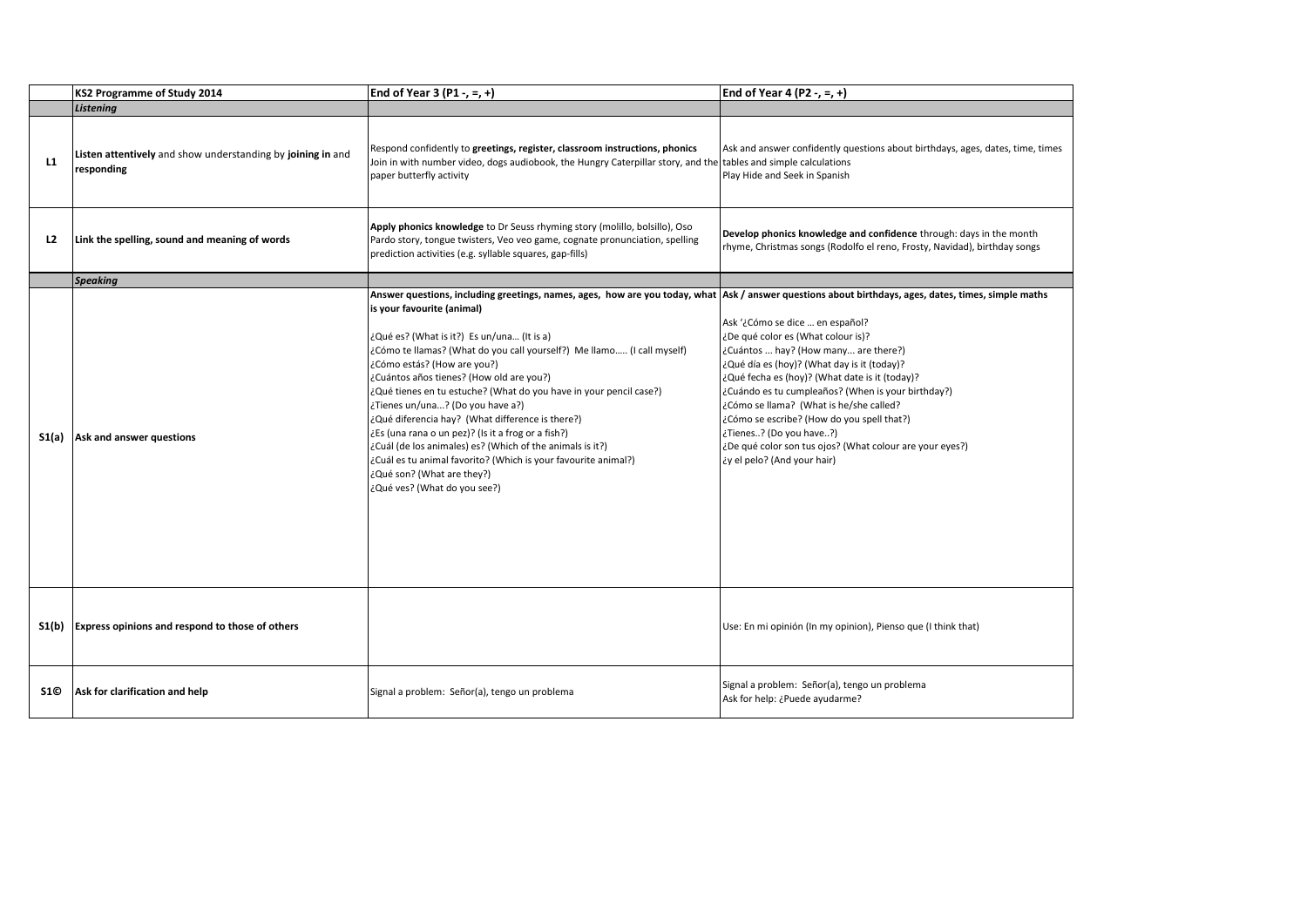|                | KS2 Programme of Study 2014                                               | End of Year 3 (P1 -, =, +)                                                                                                                                                                                                                                                                                                                                                                                                                                                                                                                                                                                                                                                                                                                                                                             | End of Year 4 (P2 -, =, +)                                                                                                                                                                                                                                                                                                                                                                                                                                                          |
|----------------|---------------------------------------------------------------------------|--------------------------------------------------------------------------------------------------------------------------------------------------------------------------------------------------------------------------------------------------------------------------------------------------------------------------------------------------------------------------------------------------------------------------------------------------------------------------------------------------------------------------------------------------------------------------------------------------------------------------------------------------------------------------------------------------------------------------------------------------------------------------------------------------------|-------------------------------------------------------------------------------------------------------------------------------------------------------------------------------------------------------------------------------------------------------------------------------------------------------------------------------------------------------------------------------------------------------------------------------------------------------------------------------------|
|                | Listening                                                                 |                                                                                                                                                                                                                                                                                                                                                                                                                                                                                                                                                                                                                                                                                                                                                                                                        |                                                                                                                                                                                                                                                                                                                                                                                                                                                                                     |
| L1             | Listen attentively and show understanding by joining in and<br>responding | Respond confidently to greetings, register, classroom instructions, phonics<br>Join in with number video, dogs audiobook, the Hungry Caterpillar story, and the tables and simple calculations<br>paper butterfly activity                                                                                                                                                                                                                                                                                                                                                                                                                                                                                                                                                                             | Ask and answer confidently questions about birthdays, ages, dates, time, times<br>Play Hide and Seek in Spanish                                                                                                                                                                                                                                                                                                                                                                     |
| L <sub>2</sub> | Link the spelling, sound and meaning of words                             | Apply phonics knowledge to Dr Seuss rhyming story (molillo, bolsillo), Oso<br>Pardo story, tongue twisters, Veo veo game, cognate pronunciation, spelling<br>prediction activities (e.g. syllable squares, gap-fills)                                                                                                                                                                                                                                                                                                                                                                                                                                                                                                                                                                                  | Develop phonics knowledge and confidence through: days in the month<br>rhyme, Christmas songs (Rodolfo el reno, Frosty, Navidad), birthday songs                                                                                                                                                                                                                                                                                                                                    |
|                | <b>Speaking</b>                                                           |                                                                                                                                                                                                                                                                                                                                                                                                                                                                                                                                                                                                                                                                                                                                                                                                        |                                                                                                                                                                                                                                                                                                                                                                                                                                                                                     |
| S1(a)          | Ask and answer questions                                                  | Answer questions, including greetings, names, ages, how are you today, what Ask / answer questions about birthdays, ages, dates, times, simple maths<br>is your favourite (animal)<br>¿Qué es? (What is it?) Es un/una (It is a)<br>¿Cómo te llamas? (What do you call yourself?) Me llamo (I call myself)<br>¿Cómo estás? (How are you?)<br>¿Cuántos años tienes? (How old are you?)<br>¿Qué tienes en tu estuche? (What do you have in your pencil case?)<br>¿Tienes un/una? (Do you have a?)<br>¿Qué diferencia hay? (What difference is there?)<br>¿Es (una rana o un pez)? (Is it a frog or a fish?)<br>¿Cuál (de los animales) es? (Which of the animals is it?)<br>¿Cuál es tu animal favorito? (Which is your favourite animal?)<br>¿Qué son? (What are they?)<br>¿Qué ves? (What do you see?) | Ask '¿Cómo se dice  en español?<br>¿De qué color es (What colour is)?<br>¿Cuántos  hay? (How many are there?)<br>¿Qué día es (hoy)? (What day is it (today)?<br>¿Qué fecha es (hoy)? (What date is it (today)?<br>¿Cuándo es tu cumpleaños? (When is your birthday?)<br>¿Cómo se llama? (What is he/she called?<br>¿Cómo se escribe? (How do you spell that?)<br>¿Tienes? (Do you have?)<br>¿De qué color son tus ojos? (What colour are your eyes?)<br>¿y el pelo? (And your hair) |
| $S_1(b)$       | Express opinions and respond to those of others                           |                                                                                                                                                                                                                                                                                                                                                                                                                                                                                                                                                                                                                                                                                                                                                                                                        | Use: En mi opinión (In my opinion), Pienso que (I think that)                                                                                                                                                                                                                                                                                                                                                                                                                       |
| S1©            | Ask for clarification and help                                            | Signal a problem: Señor(a), tengo un problema                                                                                                                                                                                                                                                                                                                                                                                                                                                                                                                                                                                                                                                                                                                                                          | Signal a problem: Señor(a), tengo un problema<br>Ask for help: ¿Puede ayudarme?                                                                                                                                                                                                                                                                                                                                                                                                     |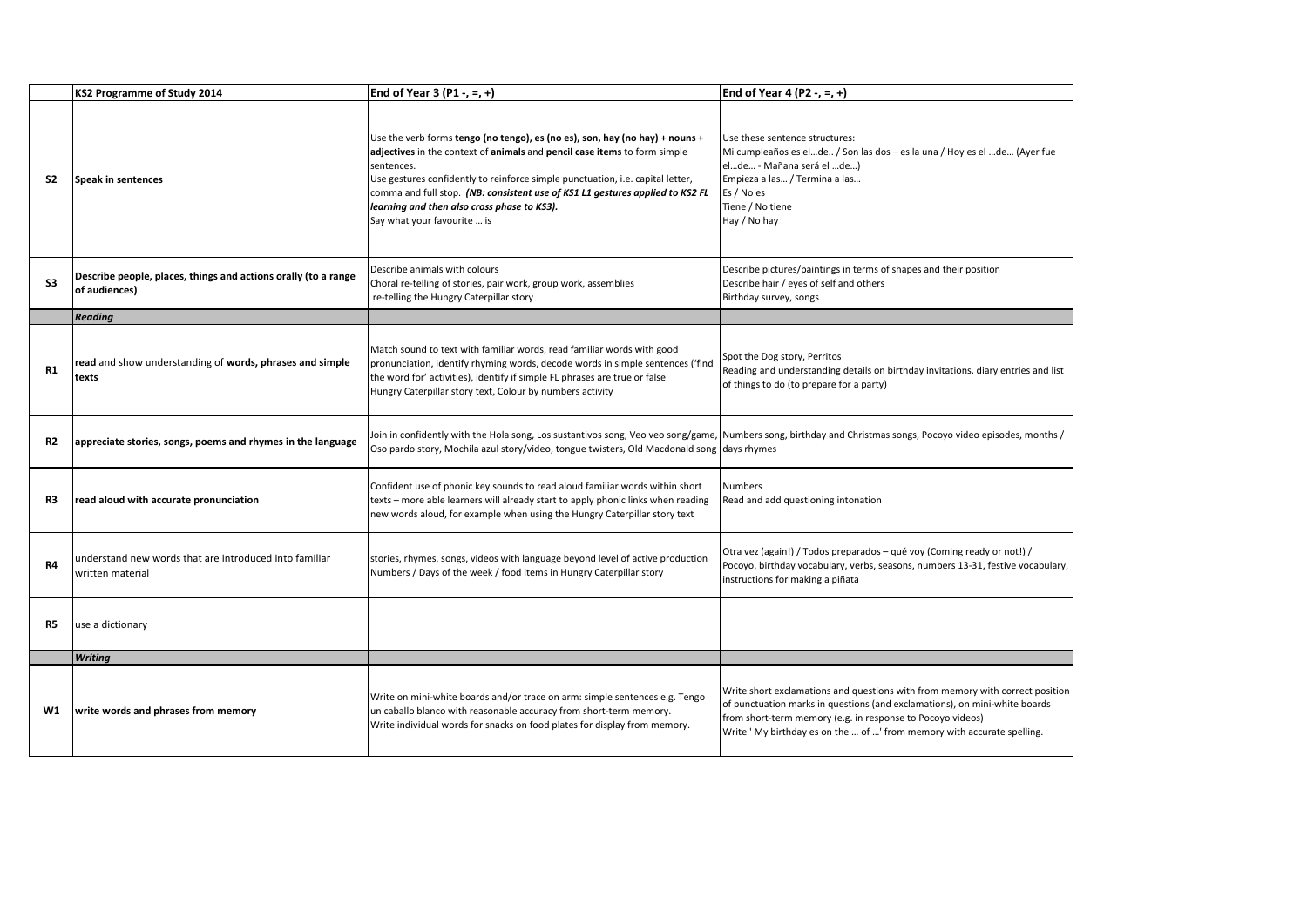|                | KS2 Programme of Study 2014                                                     | End of Year 3 (P1 -, =, +)                                                                                                                                                                                                                                                                                                                                                                                               | End of Year 4 (P2 -, =, +)                                                                                                                                                                                                                                                                           |
|----------------|---------------------------------------------------------------------------------|--------------------------------------------------------------------------------------------------------------------------------------------------------------------------------------------------------------------------------------------------------------------------------------------------------------------------------------------------------------------------------------------------------------------------|------------------------------------------------------------------------------------------------------------------------------------------------------------------------------------------------------------------------------------------------------------------------------------------------------|
| S2             | Speak in sentences                                                              | Use the verb forms tengo (no tengo), es (no es), son, hay (no hay) + nouns +<br>adjectives in the context of animals and pencil case items to form simple<br>sentences.<br>Use gestures confidently to reinforce simple punctuation, i.e. capital letter,<br>comma and full stop. (NB: consistent use of KS1 L1 gestures applied to KS2 FL<br>learning and then also cross phase to KS3).<br>Say what your favourite  is | Use these sentence structures:<br>Mi cumpleaños es elde / Son las dos – es la una / Hoy es el de (Ayer fue<br>elde - Mañana será el de)<br>Empieza a las / Termina a las<br>Es / No es<br>Tiene / No tiene<br>Hay / No hay                                                                           |
| S3             | Describe people, places, things and actions orally (to a range<br>of audiences) | Describe animals with colours<br>Choral re-telling of stories, pair work, group work, assemblies<br>re-telling the Hungry Caterpillar story                                                                                                                                                                                                                                                                              | Describe pictures/paintings in terms of shapes and their position<br>Describe hair / eyes of self and others<br>Birthday survey, songs                                                                                                                                                               |
|                | <b>Reading</b>                                                                  |                                                                                                                                                                                                                                                                                                                                                                                                                          |                                                                                                                                                                                                                                                                                                      |
| <b>R1</b>      | read and show understanding of words, phrases and simple<br>texts               | Match sound to text with familiar words, read familiar words with good<br>pronunciation, identify rhyming words, decode words in simple sentences ('find<br>the word for' activities), identify if simple FL phrases are true or false<br>Hungry Caterpillar story text, Colour by numbers activity                                                                                                                      | Spot the Dog story, Perritos<br>Reading and understanding details on birthday invitations, diary entries and list<br>of things to do (to prepare for a party)                                                                                                                                        |
| R2             | appreciate stories, songs, poems and rhymes in the language                     | Join in confidently with the Hola song, Los sustantivos song, Veo veo song/game, Numbers song, birthday and Christmas songs, Pocoyo video episodes, months /<br>Oso pardo story, Mochila azul story/video, tongue twisters, Old Macdonald song days rhymes                                                                                                                                                               |                                                                                                                                                                                                                                                                                                      |
| R3             | read aloud with accurate pronunciation                                          | Confident use of phonic key sounds to read aloud familiar words within short<br>texts - more able learners will already start to apply phonic links when reading<br>new words aloud, for example when using the Hungry Caterpillar story text                                                                                                                                                                            | <b>Numbers</b><br>Read and add questioning intonation                                                                                                                                                                                                                                                |
| R <sub>4</sub> | understand new words that are introduced into familiar<br>written material      | stories, rhymes, songs, videos with language beyond level of active production<br>Numbers / Days of the week / food items in Hungry Caterpillar story                                                                                                                                                                                                                                                                    | Otra vez (again!) / Todos preparados – qué voy (Coming ready or not!) /<br>Pocoyo, birthday vocabulary, verbs, seasons, numbers 13-31, festive vocabulary,<br>instructions for making a piñata                                                                                                       |
| R5             | use a dictionary                                                                |                                                                                                                                                                                                                                                                                                                                                                                                                          |                                                                                                                                                                                                                                                                                                      |
|                | <b>Writing</b>                                                                  |                                                                                                                                                                                                                                                                                                                                                                                                                          |                                                                                                                                                                                                                                                                                                      |
| W1             | write words and phrases from memory                                             | Write on mini-white boards and/or trace on arm: simple sentences e.g. Tengo<br>un caballo blanco with reasonable accuracy from short-term memory.<br>Write individual words for snacks on food plates for display from memory.                                                                                                                                                                                           | Write short exclamations and questions with from memory with correct position<br>of punctuation marks in questions (and exclamations), on mini-white boards<br>from short-term memory (e.g. in response to Pocoyo videos)<br>Write ' My birthday es on the  of ' from memory with accurate spelling. |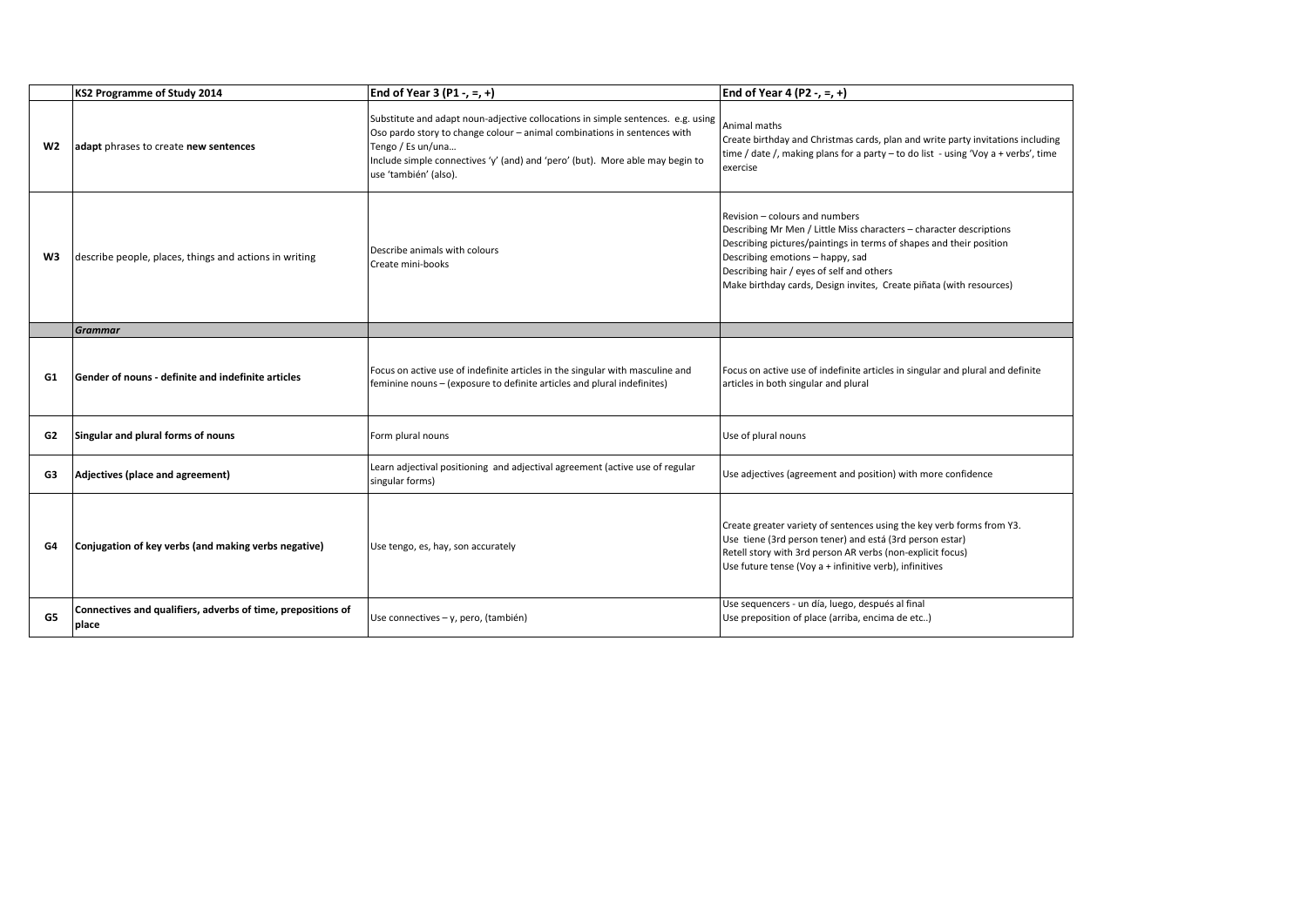|    | KS2 Programme of Study 2014                                           | End of Year 3 (P1 -, =, +)                                                                                                                                                                                                                                                                  | End of Year 4 (P2 -, =, +)                                                                                                                                                                                                                                                                                                           |
|----|-----------------------------------------------------------------------|---------------------------------------------------------------------------------------------------------------------------------------------------------------------------------------------------------------------------------------------------------------------------------------------|--------------------------------------------------------------------------------------------------------------------------------------------------------------------------------------------------------------------------------------------------------------------------------------------------------------------------------------|
| W2 | adapt phrases to create new sentences                                 | Substitute and adapt noun-adjective collocations in simple sentences. e.g. using<br>Oso pardo story to change colour - animal combinations in sentences with<br>Tengo / Es un/una<br>Include simple connectives 'y' (and) and 'pero' (but). More able may begin to<br>use 'también' (also). | Animal maths<br>Create birthday and Christmas cards, plan and write party invitations including<br>time / date /, making plans for a party $-$ to do list - using 'Voy a + verbs', time<br>exercise                                                                                                                                  |
| W3 | describe people, places, things and actions in writing                | Describe animals with colours<br>Create mini-books                                                                                                                                                                                                                                          | Revision - colours and numbers<br>Describing Mr Men / Little Miss characters - character descriptions<br>Describing pictures/paintings in terms of shapes and their position<br>Describing emotions - happy, sad<br>Describing hair / eyes of self and others<br>Make birthday cards, Design invites, Create piñata (with resources) |
|    | <b>Grammar</b>                                                        |                                                                                                                                                                                                                                                                                             |                                                                                                                                                                                                                                                                                                                                      |
| G1 | Gender of nouns - definite and indefinite articles                    | Focus on active use of indefinite articles in the singular with masculine and<br>feminine nouns - (exposure to definite articles and plural indefinites)                                                                                                                                    | Focus on active use of indefinite articles in singular and plural and definite<br>articles in both singular and plural                                                                                                                                                                                                               |
| G2 | Singular and plural forms of nouns                                    | Form plural nouns                                                                                                                                                                                                                                                                           | Use of plural nouns                                                                                                                                                                                                                                                                                                                  |
| G3 | Adjectives (place and agreement)                                      | Learn adjectival positioning and adjectival agreement (active use of regular<br>singular forms)                                                                                                                                                                                             | Use adjectives (agreement and position) with more confidence                                                                                                                                                                                                                                                                         |
| G4 | Conjugation of key verbs (and making verbs negative)                  | Use tengo, es, hay, son accurately                                                                                                                                                                                                                                                          | Create greater variety of sentences using the key verb forms from Y3.<br>Use tiene (3rd person tener) and está (3rd person estar)<br>Retell story with 3rd person AR verbs (non-explicit focus)<br>Use future tense (Voy a + infinitive verb), infinitives                                                                           |
| G5 | Connectives and qualifiers, adverbs of time, prepositions of<br>place | Use connectives - y, pero, (también)                                                                                                                                                                                                                                                        | Use sequencers - un día, luego, después al final<br>Use preposition of place (arriba, encima de etc)                                                                                                                                                                                                                                 |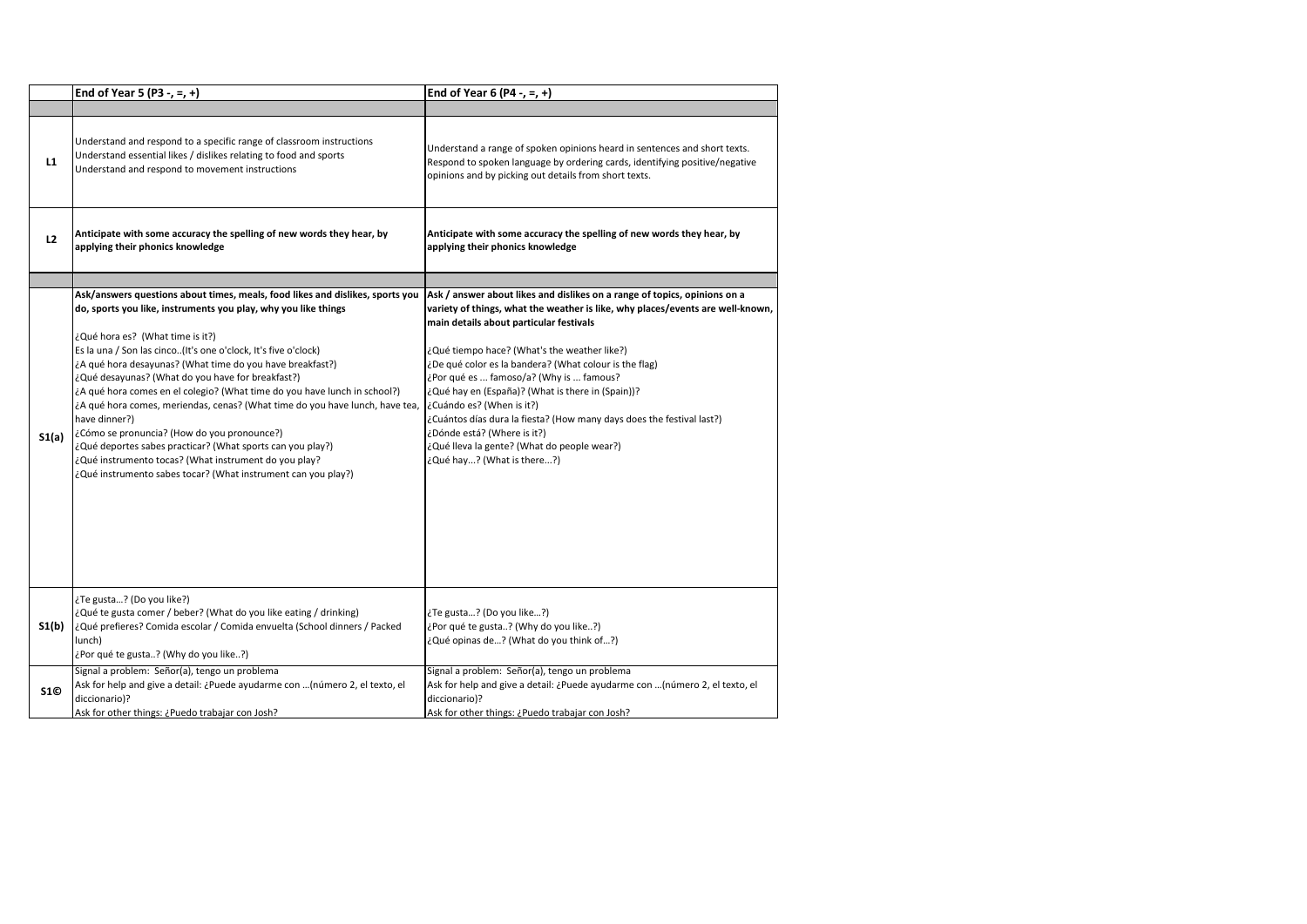|            | End of Year 5 (P3 -, =, +)                                                                                                                                                                                                                                                                                                                                                                                                                                                                                                                                                                                                                                                                                                                                                                   | End of Year 6 (P4 -, =, +)                                                                                                                                                                                                                                                                                                                                                                                                                                                                                                                                                                                                           |
|------------|----------------------------------------------------------------------------------------------------------------------------------------------------------------------------------------------------------------------------------------------------------------------------------------------------------------------------------------------------------------------------------------------------------------------------------------------------------------------------------------------------------------------------------------------------------------------------------------------------------------------------------------------------------------------------------------------------------------------------------------------------------------------------------------------|--------------------------------------------------------------------------------------------------------------------------------------------------------------------------------------------------------------------------------------------------------------------------------------------------------------------------------------------------------------------------------------------------------------------------------------------------------------------------------------------------------------------------------------------------------------------------------------------------------------------------------------|
|            |                                                                                                                                                                                                                                                                                                                                                                                                                                                                                                                                                                                                                                                                                                                                                                                              |                                                                                                                                                                                                                                                                                                                                                                                                                                                                                                                                                                                                                                      |
| L1         | Understand and respond to a specific range of classroom instructions<br>Understand essential likes / dislikes relating to food and sports<br>Understand and respond to movement instructions                                                                                                                                                                                                                                                                                                                                                                                                                                                                                                                                                                                                 | Understand a range of spoken opinions heard in sentences and short texts.<br>Respond to spoken language by ordering cards, identifying positive/negative<br>opinions and by picking out details from short texts.                                                                                                                                                                                                                                                                                                                                                                                                                    |
| L2         | Anticipate with some accuracy the spelling of new words they hear, by<br>applying their phonics knowledge                                                                                                                                                                                                                                                                                                                                                                                                                                                                                                                                                                                                                                                                                    | Anticipate with some accuracy the spelling of new words they hear, by<br>applying their phonics knowledge                                                                                                                                                                                                                                                                                                                                                                                                                                                                                                                            |
|            |                                                                                                                                                                                                                                                                                                                                                                                                                                                                                                                                                                                                                                                                                                                                                                                              |                                                                                                                                                                                                                                                                                                                                                                                                                                                                                                                                                                                                                                      |
| S1(a)      | Ask/answers questions about times, meals, food likes and dislikes, sports you<br>do, sports you like, instruments you play, why you like things<br>¿Qué hora es? (What time is it?)<br>Es la una / Son las cinco(It's one o'clock, It's five o'clock)<br>¿A qué hora desayunas? (What time do you have breakfast?)<br>¿Qué desayunas? (What do you have for breakfast?)<br>¿A qué hora comes en el colegio? (What time do you have lunch in school?)<br>¿A qué hora comes, meriendas, cenas? (What time do you have lunch, have tea,<br>have dinner?)<br>¿Cómo se pronuncia? (How do you pronounce?)<br>¿Qué deportes sabes practicar? (What sports can you play?)<br>¿Qué instrumento tocas? (What instrument do you play?<br>¿Qué instrumento sabes tocar? (What instrument can you play?) | Ask / answer about likes and dislikes on a range of topics, opinions on a<br>variety of things, what the weather is like, why places/events are well-known,<br>main details about particular festivals<br>¿Qué tiempo hace? (What's the weather like?)<br>¿De qué color es la bandera? (What colour is the flag)<br>¿Por qué es  famoso/a? (Why is  famous?<br>¿Qué hay en (España)? (What is there in (Spain))?<br>¿Cuándo es? (When is it?)<br>¿Cuántos días dura la fiesta? (How many days does the festival last?)<br>(?Dónde está? (Where is it) ل<br>¿Qué lleva la gente? (What do people wear?)<br>¿Qué hay? (What is there?) |
| $S_1(b)$   | ¿Te gusta? (Do you like?)<br>¿Qué te gusta comer / beber? (What do you like eating / drinking)<br>¿Qué prefieres? Comida escolar / Comida envuelta (School dinners / Packed<br>lunch)<br>¿Por qué te gusta? (Why do you like?)                                                                                                                                                                                                                                                                                                                                                                                                                                                                                                                                                               | ¿Te gusta? (Do you like?)<br>¿Por qué te gusta? (Why do you like?)<br>¿Qué opinas de? (What do you think of?)                                                                                                                                                                                                                                                                                                                                                                                                                                                                                                                        |
| <b>S10</b> | Signal a problem: Señor(a), tengo un problema<br>Ask for help and give a detail: ¿Puede ayudarme con (número 2, el texto, el<br>diccionario)?<br>Ask for other things: ¿Puedo trabajar con Josh?                                                                                                                                                                                                                                                                                                                                                                                                                                                                                                                                                                                             | Signal a problem: Señor(a), tengo un problema<br>Ask for help and give a detail: ¿Puede ayudarme con  (número 2, el texto, el<br>diccionario)?<br>Ask for other things: ¿Puedo trabajar con Josh?                                                                                                                                                                                                                                                                                                                                                                                                                                    |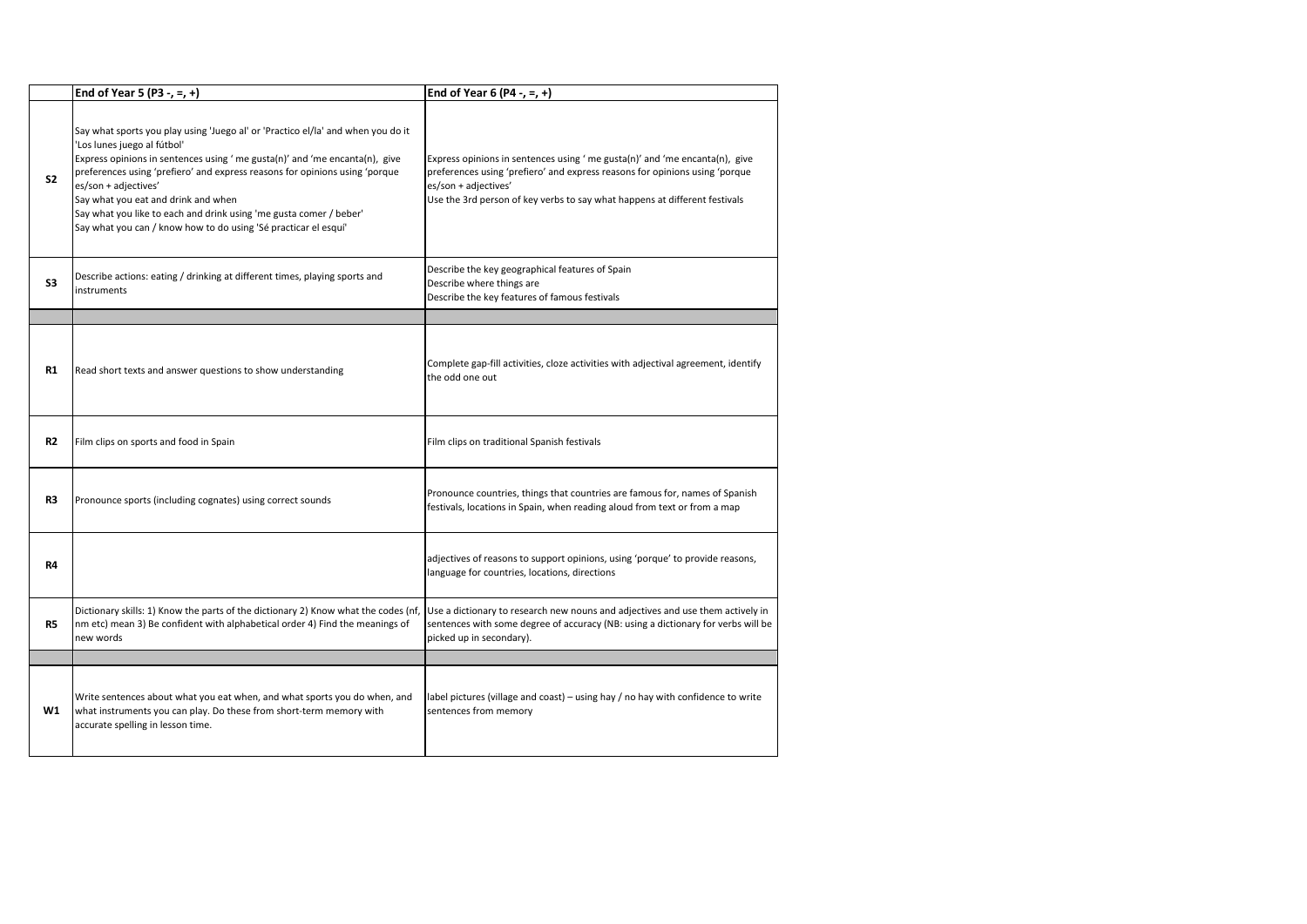|                | End of Year 5 (P3 -, =, +)                                                                                                                                                                                                                                                                                                                                                                                                                                                           | End of Year 6 (P4 -, =, +)                                                                                                                                                                                                                                      |
|----------------|--------------------------------------------------------------------------------------------------------------------------------------------------------------------------------------------------------------------------------------------------------------------------------------------------------------------------------------------------------------------------------------------------------------------------------------------------------------------------------------|-----------------------------------------------------------------------------------------------------------------------------------------------------------------------------------------------------------------------------------------------------------------|
| S <sub>2</sub> | Say what sports you play using 'Juego al' or 'Practico el/la' and when you do it<br>'Los lunes juego al fútbol'<br>Express opinions in sentences using 'me gusta(n)' and 'me encanta(n), give<br>preferences using 'prefiero' and express reasons for opinions using 'porque<br>es/son + adjectives'<br>Say what you eat and drink and when<br>Say what you like to each and drink using 'me gusta comer / beber'<br>Say what you can / know how to do using 'Sé practicar el esquí' | Express opinions in sentences using 'me gusta(n)' and 'me encanta(n), give<br>preferences using 'prefiero' and express reasons for opinions using 'porque<br>es/son + adjectives'<br>Use the 3rd person of key verbs to say what happens at different festivals |
| S3             | Describe actions: eating / drinking at different times, playing sports and<br>instruments                                                                                                                                                                                                                                                                                                                                                                                            | Describe the key geographical features of Spain<br>Describe where things are<br>Describe the key features of famous festivals                                                                                                                                   |
|                |                                                                                                                                                                                                                                                                                                                                                                                                                                                                                      |                                                                                                                                                                                                                                                                 |
| R1             | Read short texts and answer questions to show understanding                                                                                                                                                                                                                                                                                                                                                                                                                          | Complete gap-fill activities, cloze activities with adjectival agreement, identify<br>the odd one out                                                                                                                                                           |
| R2             | Film clips on sports and food in Spain                                                                                                                                                                                                                                                                                                                                                                                                                                               | Film clips on traditional Spanish festivals                                                                                                                                                                                                                     |
| R3             | Pronounce sports (including cognates) using correct sounds                                                                                                                                                                                                                                                                                                                                                                                                                           | Pronounce countries, things that countries are famous for, names of Spanish<br>festivals, locations in Spain, when reading aloud from text or from a map                                                                                                        |
| R4             |                                                                                                                                                                                                                                                                                                                                                                                                                                                                                      | adjectives of reasons to support opinions, using 'porque' to provide reasons,<br>language for countries, locations, directions                                                                                                                                  |
| R5             | Dictionary skills: 1) Know the parts of the dictionary 2) Know what the codes (nf,<br>nm etc) mean 3) Be confident with alphabetical order 4) Find the meanings of<br>new words                                                                                                                                                                                                                                                                                                      | Use a dictionary to research new nouns and adjectives and use them actively in<br>sentences with some degree of accuracy (NB: using a dictionary for verbs will be<br>picked up in secondary).                                                                  |
|                |                                                                                                                                                                                                                                                                                                                                                                                                                                                                                      |                                                                                                                                                                                                                                                                 |
| W1             | Write sentences about what you eat when, and what sports you do when, and<br>what instruments you can play. Do these from short-term memory with<br>accurate spelling in lesson time.                                                                                                                                                                                                                                                                                                | label pictures (village and coast) – using hay / no hay with confidence to write<br>sentences from memory                                                                                                                                                       |